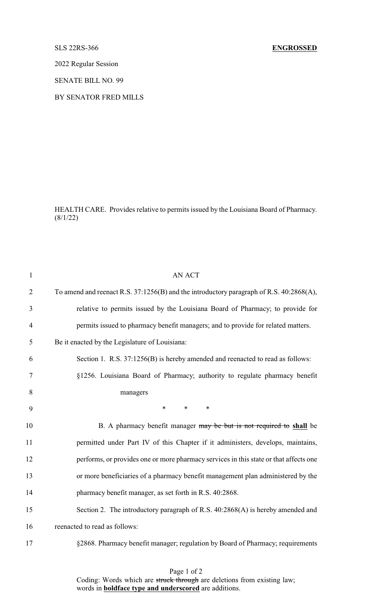2022 Regular Session

SENATE BILL NO. 99

BY SENATOR FRED MILLS

HEALTH CARE. Provides relative to permits issued by the Louisiana Board of Pharmacy.  $(8/1/22)$ 

| $\mathbf{1}$   | <b>AN ACT</b>                                                                           |
|----------------|-----------------------------------------------------------------------------------------|
| $\overline{2}$ | To amend and reenact R.S. 37:1256(B) and the introductory paragraph of R.S. 40:2868(A), |
| 3              | relative to permits issued by the Louisiana Board of Pharmacy; to provide for           |
| $\overline{4}$ | permits issued to pharmacy benefit managers; and to provide for related matters.        |
| 5              | Be it enacted by the Legislature of Louisiana:                                          |
| 6              | Section 1. R.S. 37:1256(B) is hereby amended and reenacted to read as follows:          |
| 7              | §1256. Louisiana Board of Pharmacy; authority to regulate pharmacy benefit              |
| 8              | managers                                                                                |
| 9              | $*$<br>$*$ $*$<br>$\ast$                                                                |
| 10             | B. A pharmacy benefit manager may be but is not required to shall be                    |
| 11             | permitted under Part IV of this Chapter if it administers, develops, maintains,         |
| 12             | performs, or provides one or more pharmacy services in this state or that affects one   |
| 13             | or more beneficiaries of a pharmacy benefit management plan administered by the         |
| 14             | pharmacy benefit manager, as set forth in R.S. 40:2868.                                 |
| 15             | Section 2. The introductory paragraph of R.S. 40:2868(A) is hereby amended and          |
| 16             | reenacted to read as follows:                                                           |
| 17             | §2868. Pharmacy benefit manager; regulation by Board of Pharmacy; requirements          |

Page 1 of 2 Coding: Words which are struck through are deletions from existing law; words in **boldface type and underscored** are additions.